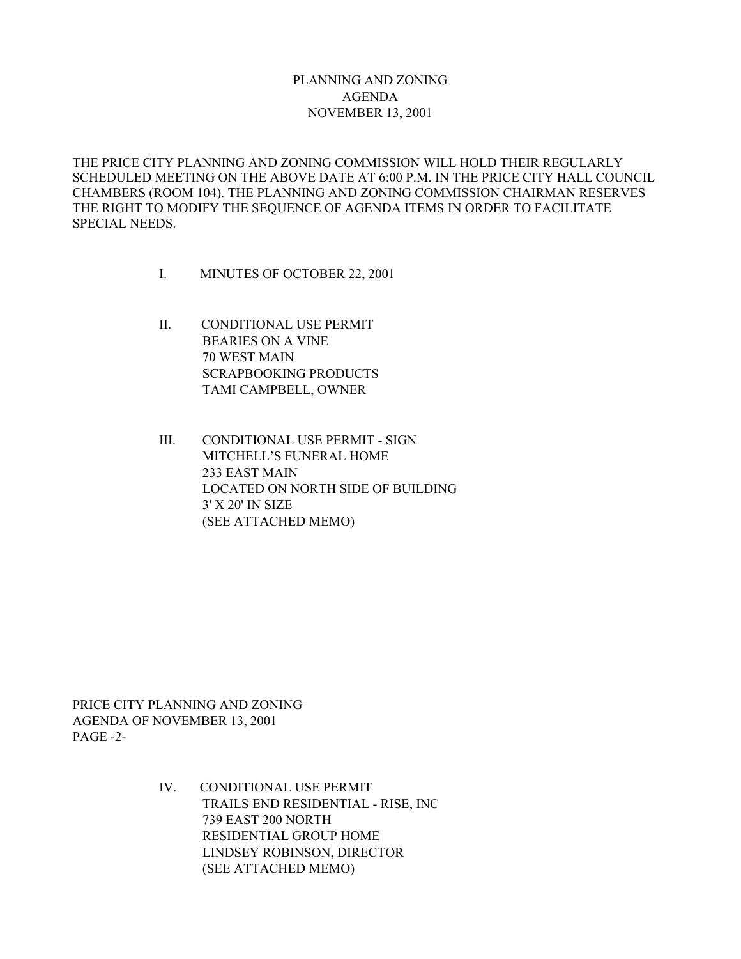## PLANNING AND ZONING AGENDA NOVEMBER 13, 2001

THE PRICE CITY PLANNING AND ZONING COMMISSION WILL HOLD THEIR REGULARLY SCHEDULED MEETING ON THE ABOVE DATE AT 6:00 P.M. IN THE PRICE CITY HALL COUNCIL CHAMBERS (ROOM 104). THE PLANNING AND ZONING COMMISSION CHAIRMAN RESERVES THE RIGHT TO MODIFY THE SEQUENCE OF AGENDA ITEMS IN ORDER TO FACILITATE SPECIAL NEEDS.

- I. MINUTES OF OCTOBER 22, 2001
- II. CONDITIONAL USE PERMIT BEARIES ON A VINE 70 WEST MAIN SCRAPBOOKING PRODUCTS TAMI CAMPBELL, OWNER
- III. CONDITIONAL USE PERMIT SIGN MITCHELL'S FUNERAL HOME 233 EAST MAIN LOCATED ON NORTH SIDE OF BUILDING 3' X 20' IN SIZE (SEE ATTACHED MEMO)

PRICE CITY PLANNING AND ZONING AGENDA OF NOVEMBER 13, 2001 PAGE -2-

> IV. CONDITIONAL USE PERMIT TRAILS END RESIDENTIAL - RISE, INC 739 EAST 200 NORTH RESIDENTIAL GROUP HOME LINDSEY ROBINSON, DIRECTOR (SEE ATTACHED MEMO)